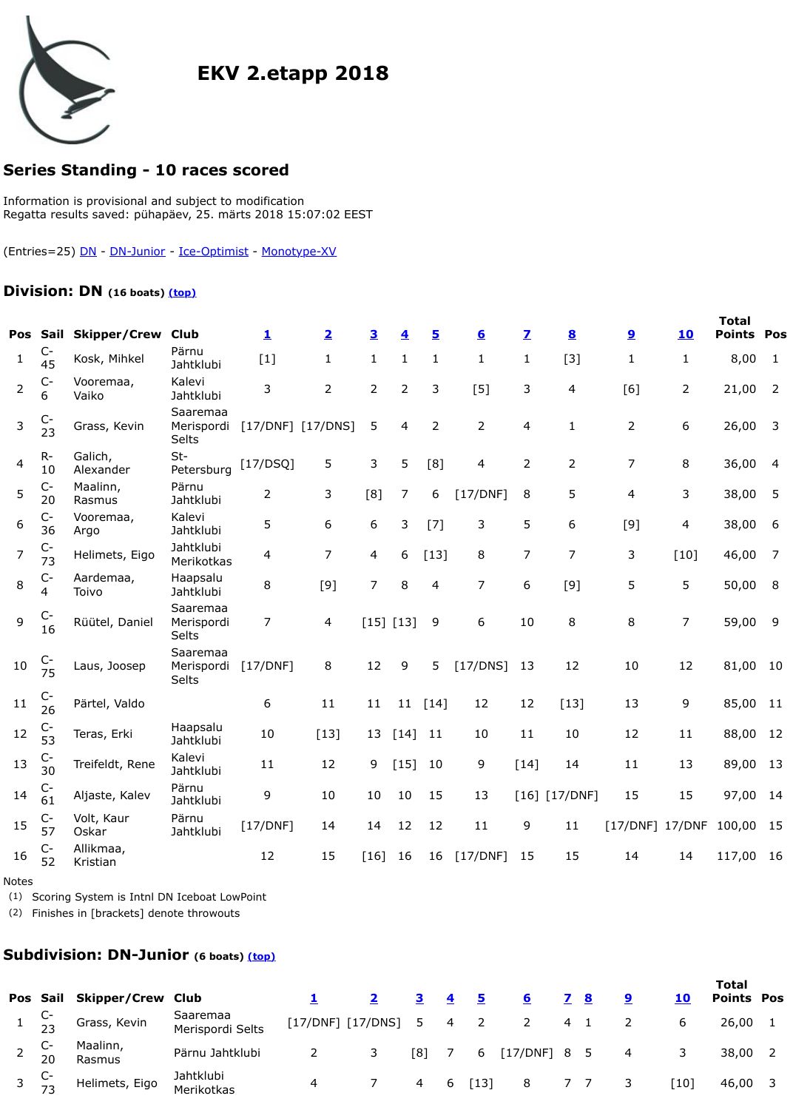| $C-$<br>20 | Maalinn,<br>Rasmus    | Pärnu<br>Jahtklubi                     | $\overline{2}$ | 3              | [8]            | $\overline{7}$ | 6         | [17/D]           |
|------------|-----------------------|----------------------------------------|----------------|----------------|----------------|----------------|-----------|------------------|
| $C-$<br>36 | Vooremaa,<br>Argo     | Kalevi<br>Jahtklubi                    | 5              | 6              | 6              | 3              | $[7]$     | 3                |
| $C-$<br>73 | Helimets, Eigo        | Jahtklubi<br>Merikotkas                | $\overline{4}$ | $\overline{7}$ | $\overline{4}$ | 6              | $[13]$    | 8                |
| $C-$<br>4  | Aardemaa,<br>Toivo    | Haapsalu<br>Jahtklubi                  | 8              | $[9]$          | $\overline{7}$ | 8              | 4         | $\overline{7}$   |
| $C-$<br>16 | Rüütel, Daniel        | Saaremaa<br>Merispordi<br><b>Selts</b> | $\overline{7}$ | $\overline{4}$ |                |                | 9         | 6                |
| $C-$<br>75 | Laus, Joosep          | Saaremaa<br>Merispordi<br><b>Selts</b> | [17/DNF]       | 8              | 12             | 9              | 5         | [17/D]           |
| $C-$<br>26 | Pärtel, Valdo         |                                        | 6              | 11             | 11             | 11             | $[14]$    | 12               |
| $C-$<br>53 | Teras, Erki           | Haapsalu<br>Jahtklubi                  | 10             | $[13]$         | 13             |                | 11        | 10               |
| $C-$<br>30 | Treifeldt, Rene       | Kalevi<br>Jahtklubi                    | 11             | 12             | 9              |                | 10        | 9                |
| $C-$<br>61 | Aljaste, Kalev        | Pärnu<br>Jahtklubi                     | 9              | 10             | 10             | 10             | 15        | 13               |
| $C-$<br>57 | Volt, Kaur<br>Oskar   | Pärnu<br>Jahtklubi                     | [17/DNF]       | 14             | 14             | 12             | 12        | 11               |
| $C-$<br>52 | Allikmaa,<br>Kristian |                                        | 12             | 15             | $[16]$         | 16             | 16        | [17/D]           |
|            |                       |                                        |                |                |                |                | [15] [13] | $[14]$<br>$[15]$ |

Petersburg [17/DSQ] <sup>5</sup> <sup>3</sup> <sup>5</sup> [8] <sup>4</sup> <sup>2</sup> <sup>2</sup> <sup>7</sup> <sup>8</sup> 36,00 <sup>4</sup>

## <span id="page-0-2"></span><span id="page-0-0"></span>Notes

(1) Scoring System is Intnl DN Iceboat LowPoint

(2) Finishes in [brackets] denote throwouts

## **Subdivision: DN-Junior (6 boats) (top)**

<span id="page-0-1"></span>

|                  |                       | Pos Sail Skipper/Crew Club      |                              |   |                     |     |                |                    |
|------------------|-----------------------|---------------------------------|------------------------------|---|---------------------|-----|----------------|--------------------|
|                  | $1\quad \frac{C}{23}$ | Grass, Kevin                    | Saaremaa<br>Merispordi Selts |   | [17/DNF] [17/DNS] 5 |     | $\overline{4}$ | $\overline{2}$     |
| 2 $\frac{C}{20}$ |                       | Maalinn,<br>Rasmus              | Pärnu Jahtklubi              |   |                     | ⊺8] |                | 6                  |
|                  |                       | 3 $\frac{C}{73}$ Helimets, Eigo | Jahtklubi<br>Merikotkas      | 4 |                     |     |                | $\lceil 13 \rceil$ |